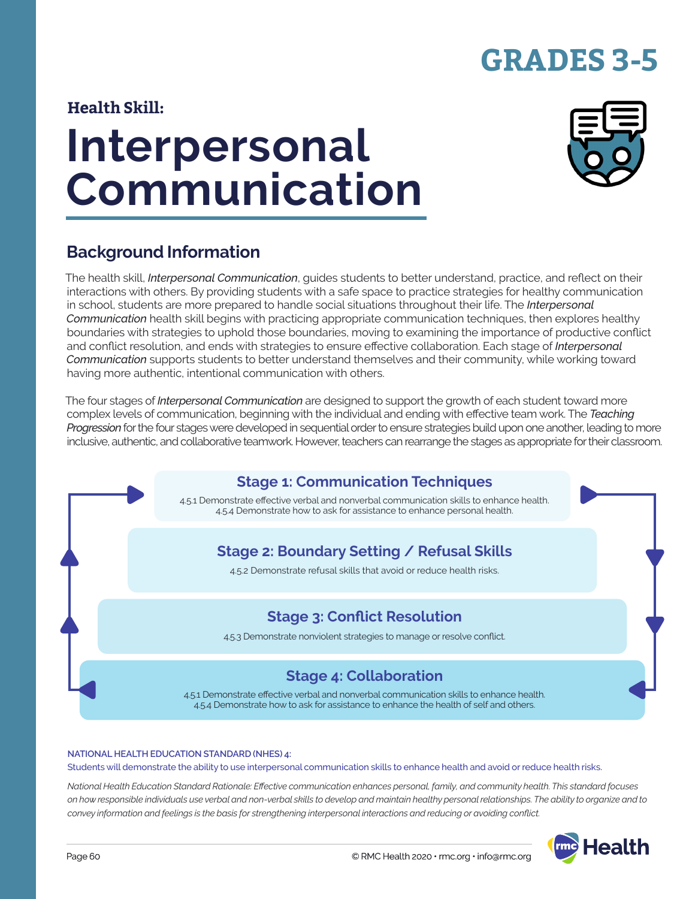# **GRADES 3-5**

### **Health Skill:**

# **Interpersonal Communication**



# **Background Information**

The health skill, *Interpersonal Communication*, guides students to better understand, practice, and reflect on their interactions with others. By providing students with a safe space to practice strategies for healthy communication in school, students are more prepared to handle social situations throughout their life. The *Interpersonal Communication* health skill begins with practicing appropriate communication techniques, then explores healthy boundaries with strategies to uphold those boundaries, moving to examining the importance of productive conflict and conflict resolution, and ends with strategies to ensure effective collaboration. Each stage of *Interpersonal Communication* supports students to better understand themselves and their community, while working toward having more authentic, intentional communication with others.

The four stages of *Interpersonal Communication* are designed to support the growth of each student toward more complex levels of communication, beginning with the individual and ending with effective team work. The *Teaching Progression* for the four stages were developed in sequential order to ensure strategies build upon one another, leading to more inclusive, authentic, and collaborative teamwork. However, teachers can rearrange the stages as appropriate for their classroom.



#### **NATIONAL HEALTH EDUCATION STANDARD (NHES) 4:**

Students will demonstrate the ability to use interpersonal communication skills to enhance health and avoid or reduce health risks.

*National Health Education Standard Rationale: Effective communication enhances personal, family, and community health. This standard focuses on how responsible individuals use verbal and non-verbal skills to develop and maintain healthy personal relationships. The ability to organize and to convey information and feelings is the basis for strengthening interpersonal interactions and reducing or avoiding conflict.*

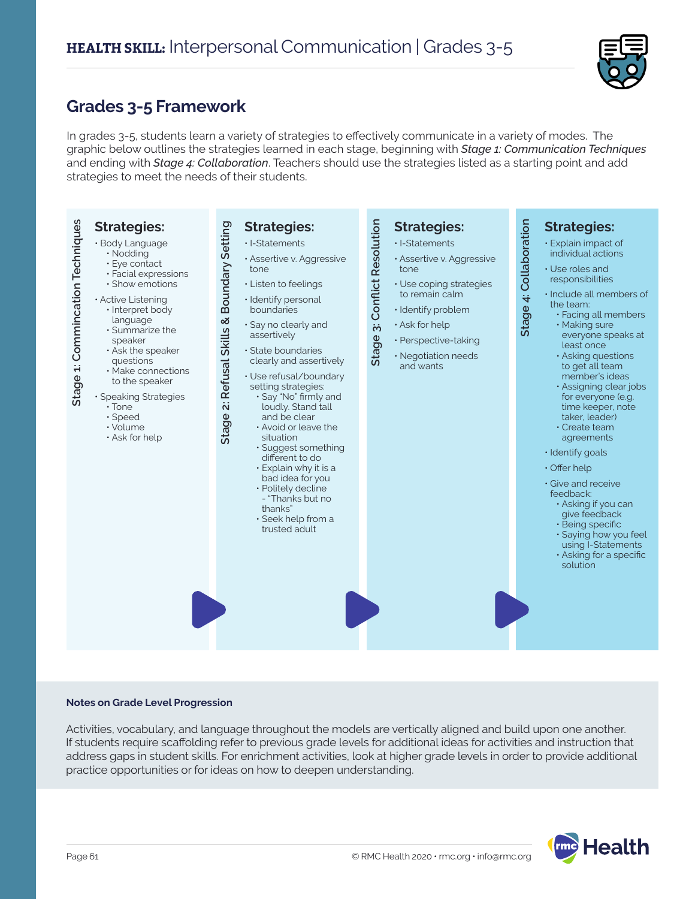

### **Grades 3-5 Framework**

In grades 3-5, students learn a variety of strategies to effectively communicate in a variety of modes. The graphic below outlines the strategies learned in each stage, beginning with *Stage 1: Communication Techniques* and ending with *Stage 4: Collaboration*. Teachers should use the strategies listed as a starting point and add strategies to meet the needs of their students.



#### **Notes on Grade Level Progression**

Activities, vocabulary, and language throughout the models are vertically aligned and build upon one another. If students require scaffolding refer to previous grade levels for additional ideas for activities and instruction that address gaps in student skills. For enrichment activities, look at higher grade levels in order to provide additional practice opportunities or for ideas on how to deepen understanding.

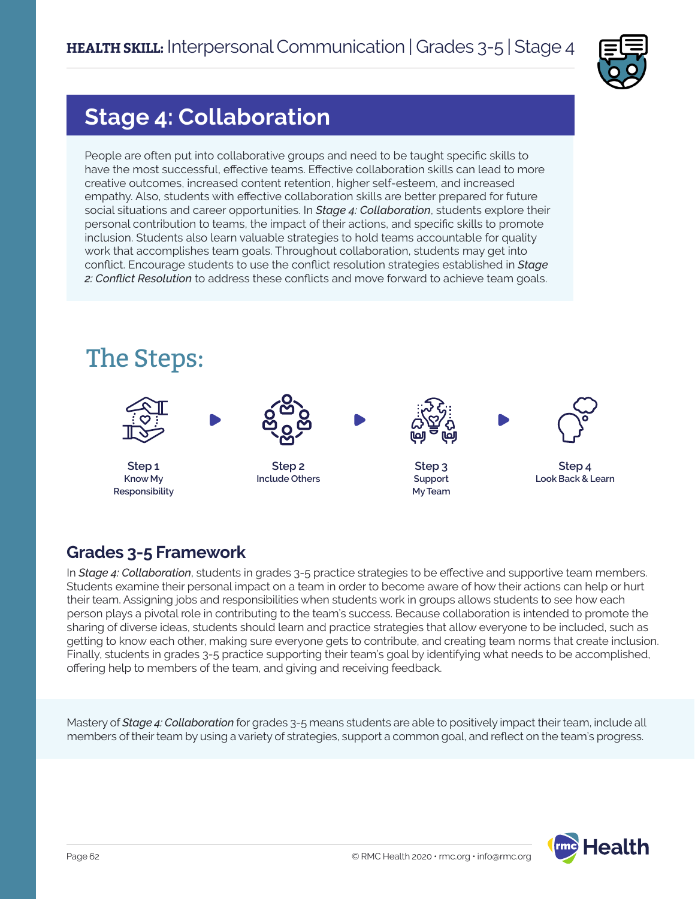

# **Stage 4: Collaboration**

People are often put into collaborative groups and need to be taught specific skills to have the most successful, effective teams. Effective collaboration skills can lead to more creative outcomes, increased content retention, higher self-esteem, and increased empathy. Also, students with effective collaboration skills are better prepared for future social situations and career opportunities. In *Stage 4: Collaboration*, students explore their personal contribution to teams, the impact of their actions, and specific skills to promote inclusion. Students also learn valuable strategies to hold teams accountable for quality work that accomplishes team goals. Throughout collaboration, students may get into conflict. Encourage students to use the conflict resolution strategies established in *Stage 2: Conflict Resolution* to address these conflicts and move forward to achieve team goals.



# **Grades 3-5 Framework**

In *Stage 4: Collaboration*, students in grades 3-5 practice strategies to be effective and supportive team members. Students examine their personal impact on a team in order to become aware of how their actions can help or hurt their team. Assigning jobs and responsibilities when students work in groups allows students to see how each person plays a pivotal role in contributing to the team's success. Because collaboration is intended to promote the sharing of diverse ideas, students should learn and practice strategies that allow everyone to be included, such as getting to know each other, making sure everyone gets to contribute, and creating team norms that create inclusion. Finally, students in grades 3-5 practice supporting their team's goal by identifying what needs to be accomplished, offering help to members of the team, and giving and receiving feedback.

Mastery of *Stage 4: Collaboration* for grades 3-5 means students are able to positively impact their team, include all members of their team by using a variety of strategies, support a common goal, and reflect on the team's progress.

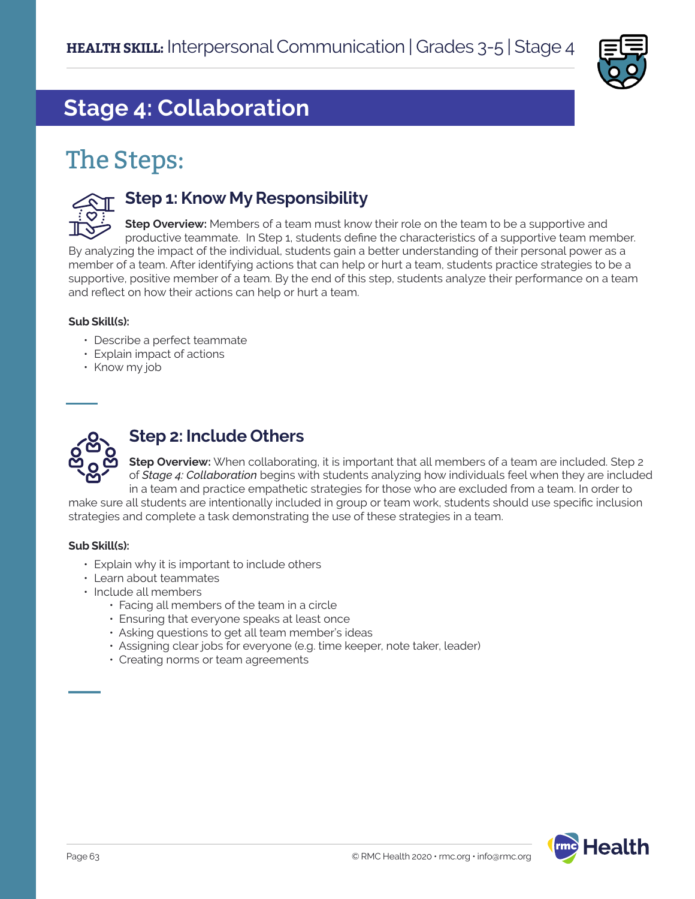

# **Stage 4: Collaboration**

# The Steps:



### **Step 1: Know My Responsibility**

**Step Overview:** Members of a team must know their role on the team to be a supportive and productive teammate. In Step 1, students define the characteristics of a supportive team member. By analyzing the impact of the individual, students gain a better understanding of their personal power as a member of a team. After identifying actions that can help or hurt a team, students practice strategies to be a supportive, positive member of a team. By the end of this step, students analyze their performance on a team and reflect on how their actions can help or hurt a team.

#### **Sub Skill(s):**

- Describe a perfect teammate
- Explain impact of actions
- Know my job



### **Step 2: Include Others**

**Step Overview:** When collaborating, it is important that all members of a team are included. Step 2 of *Stage 4: Collaboration* begins with students analyzing how individuals feel when they are included in a team and practice empathetic strategies for those who are excluded from a team. In order to make sure all students are intentionally included in group or team work, students should use specific inclusion

strategies and complete a task demonstrating the use of these strategies in a team.

#### **Sub Skill(s):**

- Explain why it is important to include others
- Learn about teammates
- Include all members
	- Facing all members of the team in a circle
	- Ensuring that everyone speaks at least once
	- Asking questions to get all team member's ideas
	- Assigning clear jobs for everyone (e.g. time keeper, note taker, leader)
	- Creating norms or team agreements

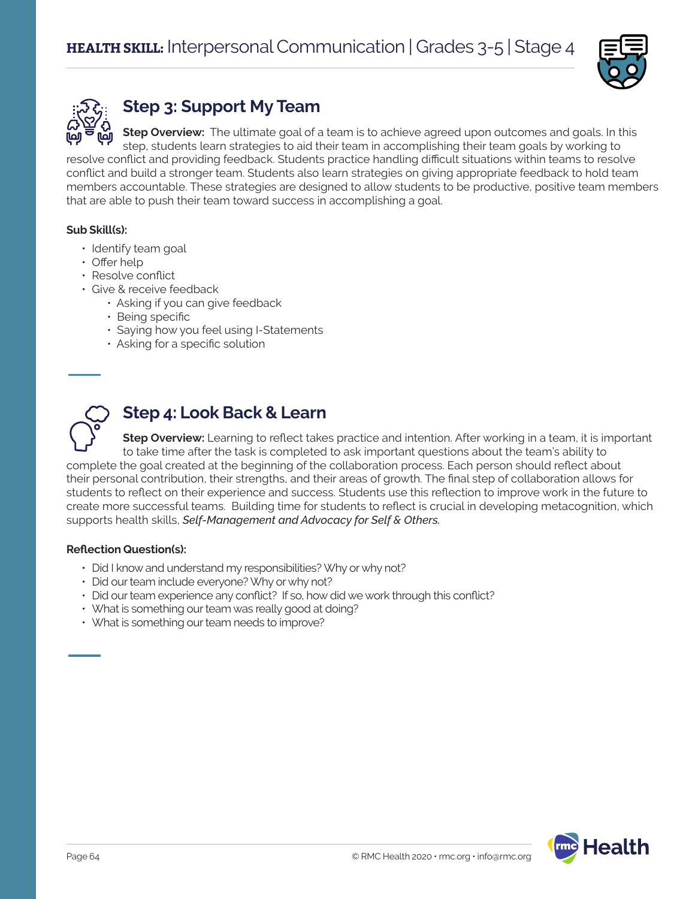



# **Step 3: Support My Team**

**Step Overview:** The ultimate goal of a team is to achieve agreed upon outcomes and goals. In this step, students learn strategies to aid their team in accomplishing their team goals by working to resolve conflict and providing feedback. Students practice handling difficult situations within teams to resolve

conflict and build a stronger team. Students also learn strategies on giving appropriate feedback to hold team members accountable. These strategies are designed to allow students to be productive, positive team members that are able to push their team toward success in accomplishing a goal.

### **Sub Skill(s):**

- Identify team goal
- Offer help
- Resolve conflict
- Give & receive feedback
	- Asking if you can give feedback
	- Being specific
	- Saying how you feel using I-Statements
	- Asking for a specific solution



### **Step 4: Look Back & Learn**

**Step Overview:** Learning to reflect takes practice and intention. After working in a team, it is important to take time after the task is completed to ask important questions about the team's ability to complete the goal created at the beginning of the collaboration process. Each person should reflect about their personal contribution, their strengths, and their areas of growth. The final step of collaboration allows for students to reflect on their experience and success. Students use this reflection to improve work in the future to create more successful teams. Building time for students to reflect is crucial in developing metacognition, which supports health skills, *Self-Management and Advocacy for Self & Others.*

#### **Reflection Question(s):**

- Did I know and understand my responsibilities? Why or why not?
- Did our team include everyone? Why or why not?
- Did our team experience any conflict? If so, how did we work through this conflict?
- What is something our team was really good at doing?
- What is something our team needs to improve?